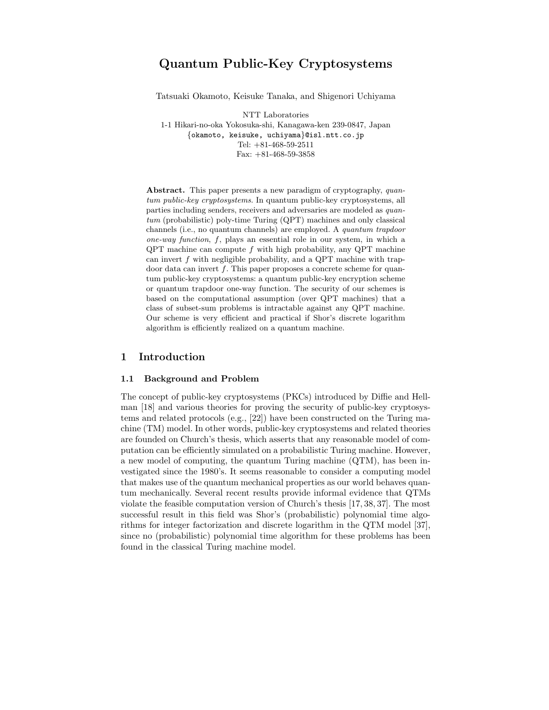# Quantum Public-Key Cryptosystems

Tatsuaki Okamoto, Keisuke Tanaka, and Shigenori Uchiyama

NTT Laboratories 1-1 Hikari-no-oka Yokosuka-shi, Kanagawa-ken 239-0847, Japan {okamoto, keisuke, uchiyama}@isl.ntt.co.jp Tel: +81-468-59-2511 Fax: +81-468-59-3858

Abstract. This paper presents a new paradigm of cryptography, quantum public-key cryptosystems. In quantum public-key cryptosystems, all parties including senders, receivers and adversaries are modeled as quantum (probabilistic) poly-time Turing (QPT) machines and only classical channels (i.e., no quantum channels) are employed. A quantum trapdoor one-way function, f, plays an essential role in our system, in which a  $QPT$  machine can compute f with high probability, any  $QPT$  machine can invert  $f$  with negligible probability, and a QPT machine with trap- $\alpha$  door data can invert f. This paper proposes a concrete scheme for quantum public-key cryptosystems: a quantum public-key encryption scheme or quantum trapdoor one-way function. The security of our schemes is based on the computational assumption (over QPT machines) that a class of subset-sum problems is intractable against any QPT machine. Our scheme is very efficient and practical if Shor's discrete logarithm algorithm is efficiently realized on a quantum machine.

### 1 Introduction

### 1.1 Background and Problem

The concept of public-key cryptosystems (PKCs) introduced by Diffie and Hellman [18] and various theories for proving the security of public-key cryptosystems and related protocols (e.g., [22]) have been constructed on the Turing machine (TM) model. In other words, public-key cryptosystems and related theories are founded on Church's thesis, which asserts that any reasonable model of computation can be efficiently simulated on a probabilistic Turing machine. However, a new model of computing, the quantum Turing machine (QTM), has been investigated since the 1980's. It seems reasonable to consider a computing model that makes use of the quantum mechanical properties as our world behaves quantum mechanically. Several recent results provide informal evidence that QTMs violate the feasible computation version of Church's thesis [17, 38, 37]. The most successful result in this field was Shor's (probabilistic) polynomial time algorithms for integer factorization and discrete logarithm in the QTM model [37], since no (probabilistic) polynomial time algorithm for these problems has been found in the classical Turing machine model.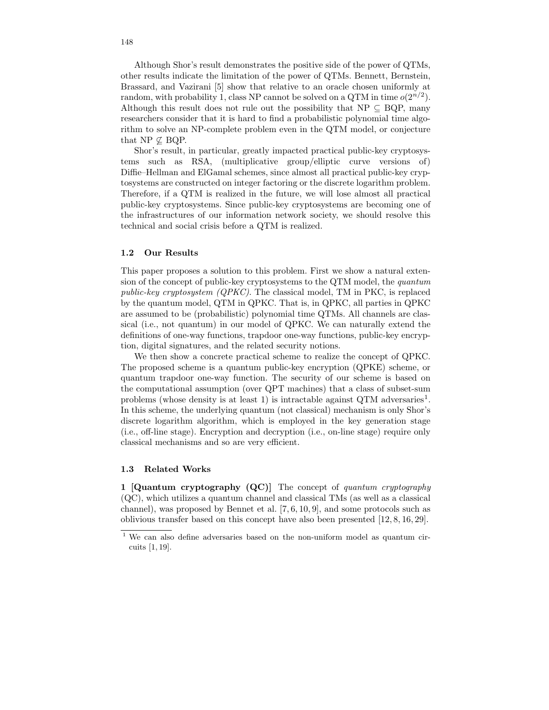Although Shor's result demonstrates the positive side of the power of QTMs, other results indicate the limitation of the power of QTMs. Bennett, Bernstein, Brassard, and Vazirani [5] show that relative to an oracle chosen uniformly at random, with probability 1, class NP cannot be solved on a QTM in time  $o(2^{n/2})$ . Although this result does not rule out the possibility that  $NP \subseteq BQP$ , many researchers consider that it is hard to find a probabilistic polynomial time algorithm to solve an NP-complete problem even in the QTM model, or conjecture that NP  $\not\subseteq$  BQP.

Shor's result, in particular, greatly impacted practical public-key cryptosystems such as RSA, (multiplicative group/elliptic curve versions of) Diffie–Hellman and ElGamal schemes, since almost all practical public-key cryptosystems are constructed on integer factoring or the discrete logarithm problem. Therefore, if a QTM is realized in the future, we will lose almost all practical public-key cryptosystems. Since public-key cryptosystems are becoming one of the infrastructures of our information network society, we should resolve this technical and social crisis before a QTM is realized.

#### 1.2 Our Results

This paper proposes a solution to this problem. First we show a natural extension of the concept of public-key cryptosystems to the QTM model, the quantum public-key cryptosystem  $(QPKC)$ . The classical model, TM in PKC, is replaced by the quantum model, QTM in QPKC. That is, in QPKC, all parties in QPKC are assumed to be (probabilistic) polynomial time QTMs. All channels are classical (i.e., not quantum) in our model of QPKC. We can naturally extend the definitions of one-way functions, trapdoor one-way functions, public-key encryption, digital signatures, and the related security notions.

We then show a concrete practical scheme to realize the concept of QPKC. The proposed scheme is a quantum public-key encryption (QPKE) scheme, or quantum trapdoor one-way function. The security of our scheme is based on the computational assumption (over QPT machines) that a class of subset-sum problems (whose density is at least 1) is intractable against  $\mathrm{QTM}$  adversaries<sup>1</sup>. In this scheme, the underlying quantum (not classical) mechanism is only Shor's discrete logarithm algorithm, which is employed in the key generation stage (i.e., off-line stage). Encryption and decryption (i.e., on-line stage) require only classical mechanisms and so are very efficient.

#### 1.3 Related Works

1 [Quantum cryptography (QC)] The concept of quantum cryptography (QC), which utilizes a quantum channel and classical TMs (as well as a classical channel), was proposed by Bennet et al. [7, 6, 10, 9], and some protocols such as oblivious transfer based on this concept have also been presented [12, 8, 16, 29].

<sup>1</sup> We can also define adversaries based on the non-uniform model as quantum circuits [1, 19].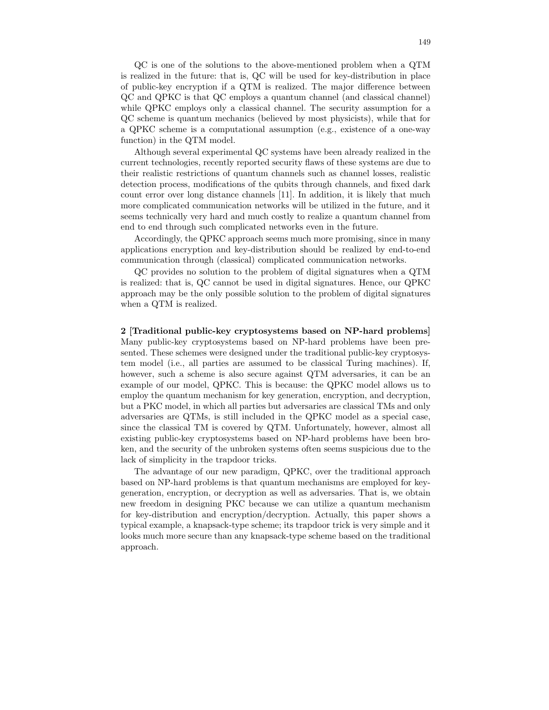QC is one of the solutions to the above-mentioned problem when a QTM is realized in the future: that is, QC will be used for key-distribution in place of public-key encryption if a QTM is realized. The major difference between QC and QPKC is that QC employs a quantum channel (and classical channel) while QPKC employs only a classical channel. The security assumption for a QC scheme is quantum mechanics (believed by most physicists), while that for a QPKC scheme is a computational assumption (e.g., existence of a one-way function) in the QTM model.

Although several experimental QC systems have been already realized in the current technologies, recently reported security flaws of these systems are due to their realistic restrictions of quantum channels such as channel losses, realistic detection process, modifications of the qubits through channels, and fixed dark count error over long distance channels [11]. In addition, it is likely that much more complicated communication networks will be utilized in the future, and it seems technically very hard and much costly to realize a quantum channel from end to end through such complicated networks even in the future.

Accordingly, the QPKC approach seems much more promising, since in many applications encryption and key-distribution should be realized by end-to-end communication through (classical) complicated communication networks.

QC provides no solution to the problem of digital signatures when a QTM is realized: that is, QC cannot be used in digital signatures. Hence, our QPKC approach may be the only possible solution to the problem of digital signatures when a QTM is realized.

2 [Traditional public-key cryptosystems based on NP-hard problems] Many public-key cryptosystems based on NP-hard problems have been presented. These schemes were designed under the traditional public-key cryptosystem model (i.e., all parties are assumed to be classical Turing machines). If, however, such a scheme is also secure against QTM adversaries, it can be an example of our model, QPKC. This is because: the QPKC model allows us to employ the quantum mechanism for key generation, encryption, and decryption, but a PKC model, in which all parties but adversaries are classical TMs and only adversaries are QTMs, is still included in the QPKC model as a special case, since the classical TM is covered by QTM. Unfortunately, however, almost all existing public-key cryptosystems based on NP-hard problems have been broken, and the security of the unbroken systems often seems suspicious due to the lack of simplicity in the trapdoor tricks.

The advantage of our new paradigm, QPKC, over the traditional approach based on NP-hard problems is that quantum mechanisms are employed for keygeneration, encryption, or decryption as well as adversaries. That is, we obtain new freedom in designing PKC because we can utilize a quantum mechanism for key-distribution and encryption/decryption. Actually, this paper shows a typical example, a knapsack-type scheme; its trapdoor trick is very simple and it looks much more secure than any knapsack-type scheme based on the traditional approach.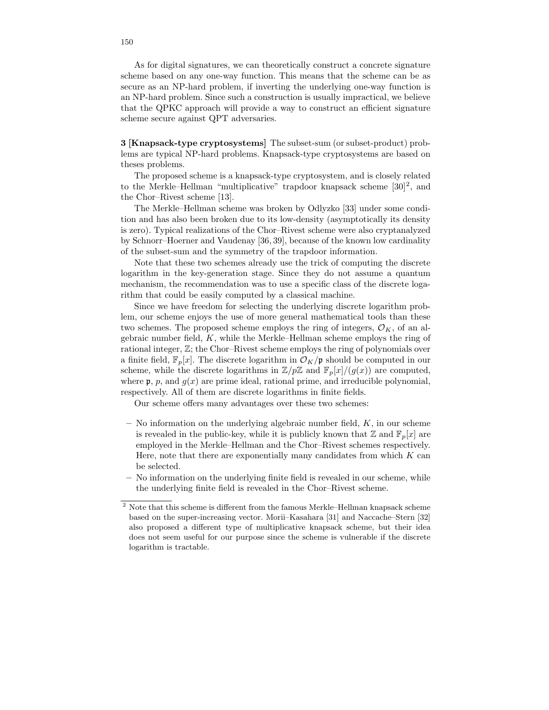As for digital signatures, we can theoretically construct a concrete signature scheme based on any one-way function. This means that the scheme can be as secure as an NP-hard problem, if inverting the underlying one-way function is an NP-hard problem. Since such a construction is usually impractical, we believe that the QPKC approach will provide a way to construct an efficient signature scheme secure against QPT adversaries.

3 [Knapsack-type cryptosystems] The subset-sum (or subset-product) problems are typical NP-hard problems. Knapsack-type cryptosystems are based on theses problems.

The proposed scheme is a knapsack-type cryptosystem, and is closely related to the Merkle–Hellman "multiplicative" trapdoor knapsack scheme  $[30]^2$ , and the Chor–Rivest scheme [13].

The Merkle–Hellman scheme was broken by Odlyzko [33] under some condition and has also been broken due to its low-density (asymptotically its density is zero). Typical realizations of the Chor–Rivest scheme were also cryptanalyzed by Schnorr–Hoerner and Vaudenay [36, 39], because of the known low cardinality of the subset-sum and the symmetry of the trapdoor information.

Note that these two schemes already use the trick of computing the discrete logarithm in the key-generation stage. Since they do not assume a quantum mechanism, the recommendation was to use a specific class of the discrete logarithm that could be easily computed by a classical machine.

Since we have freedom for selecting the underlying discrete logarithm problem, our scheme enjoys the use of more general mathematical tools than these two schemes. The proposed scheme employs the ring of integers,  $\mathcal{O}_K$ , of an algebraic number field,  $K$ , while the Merkle–Hellman scheme employs the ring of rational integer, Z; the Chor–Rivest scheme employs the ring of polynomials over a finite field,  $\mathbb{F}_p[x]$ . The discrete logarithm in  $\mathcal{O}_K/\mathfrak{p}$  should be computed in our scheme, while the discrete logarithms in  $\mathbb{Z}/p\mathbb{Z}$  and  $\mathbb{F}_p[x]/(q(x))$  are computed, where  $\mathfrak{p}$ ,  $p$ , and  $g(x)$  are prime ideal, rational prime, and irreducible polynomial, respectively. All of them are discrete logarithms in finite fields.

Our scheme offers many advantages over these two schemes:

- $-$  No information on the underlying algebraic number field,  $K$ , in our scheme is revealed in the public-key, while it is publicly known that  $\mathbb{Z}$  and  $\mathbb{F}_p[x]$  are employed in the Merkle–Hellman and the Chor–Rivest schemes respectively. Here, note that there are exponentially many candidates from which  $K$  can be selected.
- No information on the underlying finite field is revealed in our scheme, while the underlying finite field is revealed in the Chor–Rivest scheme.

 $^{\rm 2}$  Note that this scheme is different from the famous Merkle–Hellman knapsack scheme based on the super-increasing vector. Morii–Kasahara [31] and Naccache–Stern [32] also proposed a different type of multiplicative knapsack scheme, but their idea does not seem useful for our purpose since the scheme is vulnerable if the discrete logarithm is tractable.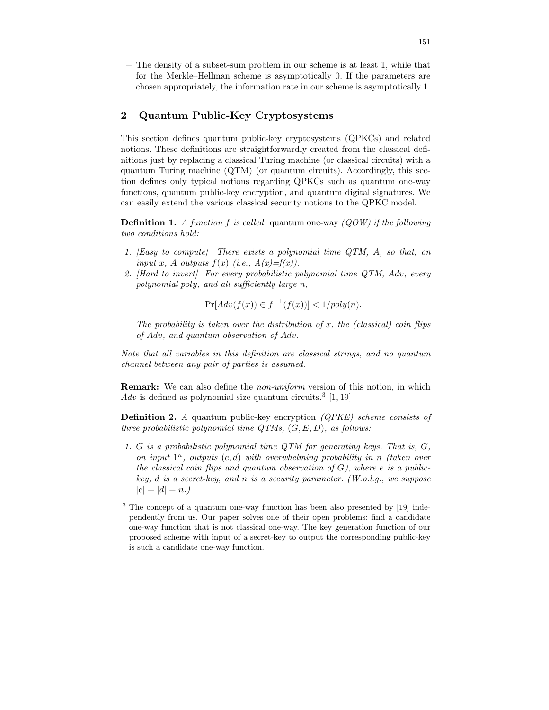– The density of a subset-sum problem in our scheme is at least 1, while that for the Merkle–Hellman scheme is asymptotically 0. If the parameters are chosen appropriately, the information rate in our scheme is asymptotically 1.

### 2 Quantum Public-Key Cryptosystems

This section defines quantum public-key cryptosystems (QPKCs) and related notions. These definitions are straightforwardly created from the classical definitions just by replacing a classical Turing machine (or classical circuits) with a quantum Turing machine (QTM) (or quantum circuits). Accordingly, this section defines only typical notions regarding QPKCs such as quantum one-way functions, quantum public-key encryption, and quantum digital signatures. We can easily extend the various classical security notions to the QPKC model.

**Definition 1.** A function f is called quantum one-way  $(QOW)$  if the following two conditions hold:

- 1. [Easy to compute] There exists a polynomial time QTM, A, so that, on input x, A outputs  $f(x)$  (i.e.,  $A(x)=f(x)$ ).
- 2. [Hard to invert] For every probabilistic polynomial time QTM, Adv, every polynomial poly, and all sufficiently large n,

$$
\Pr[Adv(f(x)) \in f^{-1}(f(x))] < 1/poly(n).
$$

The probability is taken over the distribution of  $x$ , the (classical) coin flips of Adv, and quantum observation of Adv.

Note that all variables in this definition are classical strings, and no quantum channel between any pair of parties is assumed.

Remark: We can also define the non-uniform version of this notion, in which Adv is defined as polynomial size quantum circuits.<sup>3</sup> [1, 19]

Definition 2. A quantum public-key encryption (QPKE) scheme consists of three probabilistic polynomial time  $QTMs$ ,  $(G, E, D)$ , as follows:

1. G is a probabilistic polynomial time QTM for generating keys. That is, G, on input  $1^n$ , outputs  $(e, d)$  with overwhelming probability in n (taken over the classical coin flips and quantum observation of  $G$ ), where e is a publickey,  $d$  is a secret-key, and  $n$  is a security parameter. (W.o.l.g., we suppose  $|e| = |d| = n.$ 

<sup>&</sup>lt;sup>3</sup> The concept of a quantum one-way function has been also presented by [19] independently from us. Our paper solves one of their open problems: find a candidate one-way function that is not classical one-way. The key generation function of our proposed scheme with input of a secret-key to output the corresponding public-key is such a candidate one-way function.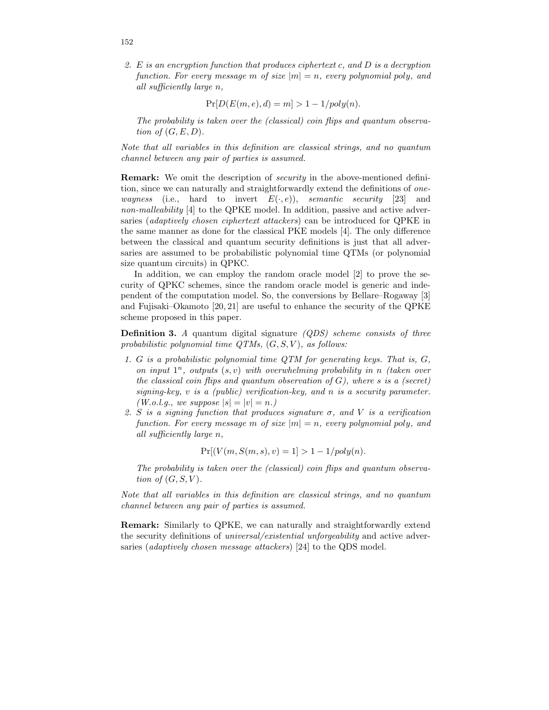2. E is an encryption function that produces ciphertext c, and  $D$  is a decryption function. For every message m of size  $|m| = n$ , every polynomial poly, and all sufficiently large n,

$$
\Pr[D(E(m, e), d) = m] > 1 - 1/poly(n).
$$

The probability is taken over the (classical) coin flips and quantum observation of  $(G, E, D)$ .

Note that all variables in this definition are classical strings, and no quantum channel between any pair of parties is assumed.

**Remark:** We omit the description of *security* in the above-mentioned definition, since we can naturally and straightforwardly extend the definitions of onewayness (i.e., hard to invert  $E(\cdot, e)$ ), semantic security [23] and non-malleability [4] to the QPKE model. In addition, passive and active adversaries (adaptively chosen ciphertext attackers) can be introduced for QPKE in the same manner as done for the classical PKE models [4]. The only difference between the classical and quantum security definitions is just that all adversaries are assumed to be probabilistic polynomial time QTMs (or polynomial size quantum circuits) in QPKC.

In addition, we can employ the random oracle model [2] to prove the security of QPKC schemes, since the random oracle model is generic and independent of the computation model. So, the conversions by Bellare–Rogaway [3] and Fujisaki–Okamoto [20, 21] are useful to enhance the security of the QPKE scheme proposed in this paper.

**Definition 3.** A quantum digital signature  $(QDS)$  scheme consists of three probabilistic polynomial time  $QTMs$ ,  $(G, S, V)$ , as follows:

- 1. G is a probabilistic polynomial time QTM for generating keys. That is, G, on input  $1^n$ , outputs  $(s, v)$  with overwhelming probability in n (taken over the classical coin flips and quantum observation of  $G$ ), where s is a (secret) signing-key, v is a (public) verification-key, and n is a security parameter.  $(W.o.l.q., we suppose  $|s| = |v| = n$ .)$
- 2. S is a signing function that produces signature  $\sigma$ , and V is a verification function. For every message m of size  $|m| = n$ , every polynomial poly, and all sufficiently large n,

 $Pr[(V(m, S(m, s), v) = 1] > 1 - 1/poly(n)].$ 

The probability is taken over the (classical) coin flips and quantum observation of  $(G, S, V)$ .

Note that all variables in this definition are classical strings, and no quantum channel between any pair of parties is assumed.

Remark: Similarly to QPKE, we can naturally and straightforwardly extend the security definitions of universal/existential unforgeability and active adversaries (adaptively chosen message attackers) [24] to the QDS model.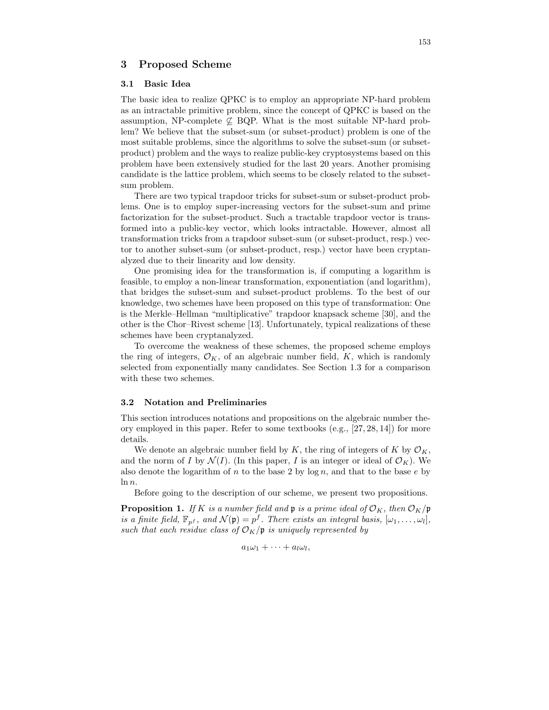### 3 Proposed Scheme

#### 3.1 Basic Idea

The basic idea to realize QPKC is to employ an appropriate NP-hard problem as an intractable primitive problem, since the concept of QPKC is based on the assumption, NP-complete  $\not\subseteq$  BQP. What is the most suitable NP-hard problem? We believe that the subset-sum (or subset-product) problem is one of the most suitable problems, since the algorithms to solve the subset-sum (or subsetproduct) problem and the ways to realize public-key cryptosystems based on this problem have been extensively studied for the last 20 years. Another promising candidate is the lattice problem, which seems to be closely related to the subsetsum problem.

There are two typical trapdoor tricks for subset-sum or subset-product problems. One is to employ super-increasing vectors for the subset-sum and prime factorization for the subset-product. Such a tractable trapdoor vector is transformed into a public-key vector, which looks intractable. However, almost all transformation tricks from a trapdoor subset-sum (or subset-product, resp.) vector to another subset-sum (or subset-product, resp.) vector have been cryptanalyzed due to their linearity and low density.

One promising idea for the transformation is, if computing a logarithm is feasible, to employ a non-linear transformation, exponentiation (and logarithm), that bridges the subset-sum and subset-product problems. To the best of our knowledge, two schemes have been proposed on this type of transformation: One is the Merkle–Hellman "multiplicative" trapdoor knapsack scheme [30], and the other is the Chor–Rivest scheme [13]. Unfortunately, typical realizations of these schemes have been cryptanalyzed.

To overcome the weakness of these schemes, the proposed scheme employs the ring of integers,  $\mathcal{O}_K$ , of an algebraic number field, K, which is randomly selected from exponentially many candidates. See Section 1.3 for a comparison with these two schemes.

#### 3.2 Notation and Preliminaries

This section introduces notations and propositions on the algebraic number theory employed in this paper. Refer to some textbooks (e.g., [27, 28, 14]) for more details.

We denote an algebraic number field by K, the ring of integers of K by  $\mathcal{O}_K$ , and the norm of I by  $\mathcal{N}(I)$ . (In this paper, I is an integer or ideal of  $\mathcal{O}_K$ ). We also denote the logarithm of  $n$  to the base 2 by log  $n$ , and that to the base  $e$  by  $\ln n$ .

Before going to the description of our scheme, we present two propositions.

**Proposition 1.** If K is a number field and **p** is a prime ideal of  $\mathcal{O}_K$ , then  $\mathcal{O}_K/\mathfrak{p}$ is a finite field,  $\mathbb{F}_{p^f}$ , and  $\mathcal{N}(\mathfrak{p}) = p^f$ . There exists an integral basis,  $[\omega_1, \dots, \omega_l]$ , such that each residue class of  $\mathcal{O}_K/\mathfrak{p}$  is uniquely represented by

$$
a_1\omega_1+\cdots+a_l\omega_l,
$$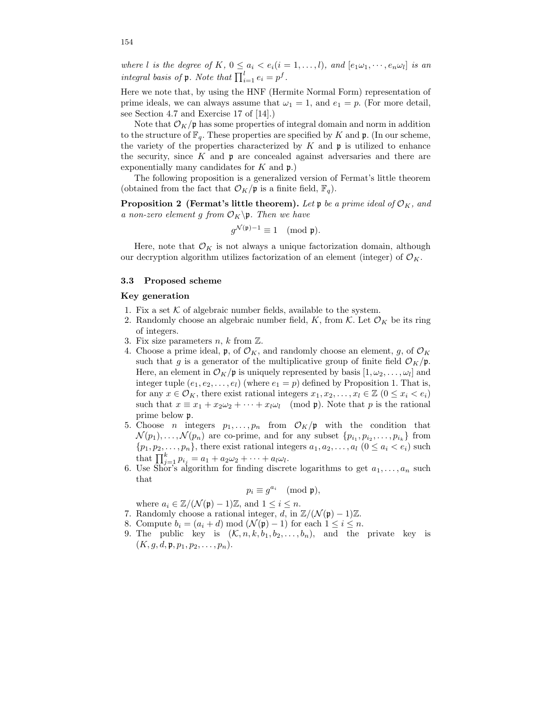where l is the degree of K,  $0 \le a_i < e_i (i = 1, \ldots, l)$ , and  $[e_1 \omega_1, \cdots, e_n \omega_l]$  is an integral basis of  $\mathfrak p$ . Note that  $\prod_{i=1}^l e_i = p^f$ .

Here we note that, by using the HNF (Hermite Normal Form) representation of prime ideals, we can always assume that  $\omega_1 = 1$ , and  $e_1 = p$ . (For more detail, see Section 4.7 and Exercise 17 of [14].)

Note that  $\mathcal{O}_K/\mathfrak{p}$  has some properties of integral domain and norm in addition to the structure of  $\mathbb{F}_q$ . These properties are specified by K and  $\mathfrak{p}$ . (In our scheme, the variety of the properties characterized by  $K$  and  $\mathfrak p$  is utilized to enhance the security, since  $K$  and  $\mathfrak p$  are concealed against adversaries and there are exponentially many candidates for  $K$  and  $\mathfrak{p}$ .)

The following proposition is a generalized version of Fermat's little theorem (obtained from the fact that  $\mathcal{O}_K/\mathfrak{p}$  is a finite field,  $\mathbb{F}_q$ ).

**Proposition 2** (Fermat's little theorem). Let p be a prime ideal of  $\mathcal{O}_K$ , and a non-zero element g from  $\mathcal{O}_K \backslash \mathfrak{p}$ . Then we have

$$
g^{\mathcal{N}(\mathfrak{p})-1} \equiv 1 \pmod{\mathfrak{p}}.
$$

Here, note that  $\mathcal{O}_K$  is not always a unique factorization domain, although our decryption algorithm utilizes factorization of an element (integer) of  $\mathcal{O}_K$ .

### 3.3 Proposed scheme

#### Key generation

- 1. Fix a set  $K$  of algebraic number fields, available to the system.
- 2. Randomly choose an algebraic number field,  $K$ , from  $K$ . Let  $\mathcal{O}_K$  be its ring of integers.
- 3. Fix size parameters  $n, k$  from  $\mathbb{Z}$ .
- 4. Choose a prime ideal,  $\mathfrak{p}$ , of  $\mathcal{O}_K$ , and randomly choose an element, g, of  $\mathcal{O}_K$ such that g is a generator of the multiplicative group of finite field  $\mathcal{O}_K/\mathfrak{p}$ . Here, an element in  $\mathcal{O}_K/\mathfrak{p}$  is uniquely represented by basis  $[1, \omega_2, \dots, \omega_l]$  and integer tuple  $(e_1, e_2, \ldots, e_l)$  (where  $e_1 = p$ ) defined by Proposition 1. That is, for any  $x \in \mathcal{O}_K$ , there exist rational integers  $x_1, x_2, \ldots, x_l \in \mathbb{Z}$   $(0 \le x_i \le e_i)$ such that  $x \equiv x_1 + x_2 \omega_2 + \cdots + x_l \omega_l \pmod{\mathfrak{p}}$ . Note that p is the rational prime below p.
- 5. Choose *n* integers  $p_1, \ldots, p_n$  from  $\mathcal{O}_K/\mathfrak{p}$  with the condition that  $\mathcal{N}(p_1), \ldots, \mathcal{N}(p_n)$  are co-prime, and for any subset  $\{p_{i_1}, p_{i_2}, \ldots, p_{i_k}\}\$  from  $\{p_1, p_2, \ldots, p_n\}$ , there exist rational integers  $a_1, a_2, \ldots, a_l$   $(0 \le a_i < e_i)$  such that  $\prod_{j=1}^{k} p_{i_j} = a_1 + a_2 \omega_2 + \cdots + a_l \omega_l.$
- 6. Use Shor's algorithm for finding discrete logarithms to get  $a_1, \ldots, a_n$  such that

$$
p_i \equiv g^{a_i} \pmod{\mathfrak{p}},
$$

where  $a_i \in \mathbb{Z}/(\mathcal{N}(\mathfrak{p})-1)\mathbb{Z}$ , and  $1 \leq i \leq n$ .

- 7. Randomly choose a rational integer, d, in  $\mathbb{Z}/(\mathcal{N}(\mathfrak{p})-1)\mathbb{Z}$ .
- 8. Compute  $b_i = (a_i + d) \mod (\mathcal{N}(\mathfrak{p}) 1)$  for each  $1 \leq i \leq n$ .
- 9. The public key is  $(\mathcal{K}, n, k, b_1, b_2, \ldots, b_n)$ , and the private key is  $(K, g, d, \mathfrak{p}, p_1, p_2, \ldots, p_n).$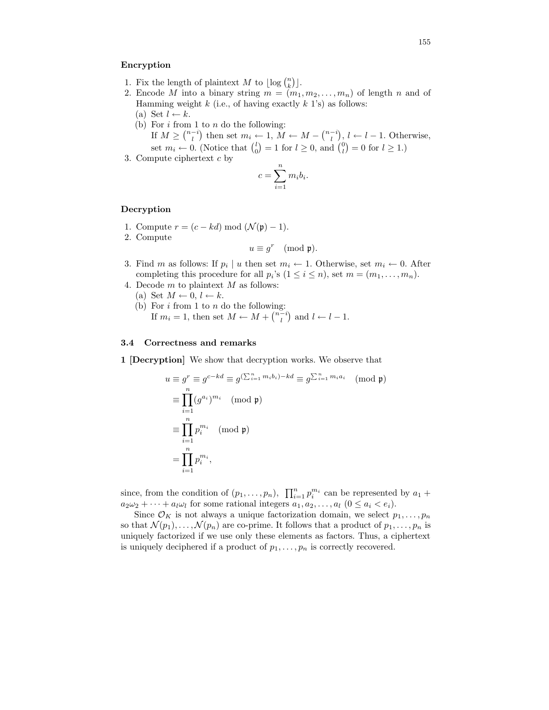#### Encryption

- 1. Fix the length of plaintext M to  $\lfloor \log {n \choose k} \rfloor$ .
- 2. Encode M into a binary string  $m = (m_1, m_2, \ldots, m_n)$  of length n and of Hamming weight  $k$  (i.e., of having exactly  $k$  1's) as follows: (a) Set  $l \leftarrow k$ .
	- (b) For  $i$  from 1 to  $n$  do the following: If  $M \geq {n-i \choose l}$  then set  $m_i \leftarrow 1, M \leftarrow M - {n-i \choose l}, l \leftarrow l-1$ . Otherwise, set  $m_i \leftarrow 0$ . (Notice that  $\binom{l}{0} = 1$  for  $l \geq 0$ , and  $\binom{0}{l} = 0$  for  $l \geq 1$ .)
- 3. Compute ciphertext  $c$  by

$$
c = \sum_{i=1}^{n} m_i b_i.
$$

### Decryption

- 1. Compute  $r = (c kd) \mod (\mathcal{N}(\mathfrak{p}) 1)$ .
- 2. Compute

$$
u \equiv g^r \pmod{\mathfrak{p}}.
$$

- 3. Find m as follows: If  $p_i \mid u$  then set  $m_i \leftarrow 1$ . Otherwise, set  $m_i \leftarrow 0$ . After completing this procedure for all  $p_i$ 's  $(1 \leq i \leq n)$ , set  $m = (m_1, \ldots, m_n)$ .
- 4. Decode  $m$  to plaintext  $M$  as follows:
	- (a) Set  $M \leftarrow 0, l \leftarrow k$ .
	- (b) For  $i$  from 1 to  $n$  do the following: If  $m_i = 1$ , then set  $M \leftarrow M + \binom{n-i}{l}$  and  $l \leftarrow l - 1$ .

#### 3.4 Correctness and remarks

1 [Decryption] We show that decryption works. We observe that

$$
u \equiv g^r \equiv g^{c-kd} \equiv g^{(\sum_{i=1}^n m_i b_i)-kd} \equiv g^{\sum_{i=1}^n m_i a_i} \pmod{\mathfrak{p}}
$$
  

$$
\equiv \prod_{i=1}^n (g^{a_i})^{m_i} \pmod{\mathfrak{p}}
$$
  

$$
\equiv \prod_{i=1}^n p_i^{m_i} \pmod{\mathfrak{p}}
$$
  

$$
= \prod_{i=1}^n p_i^{m_i},
$$

since, from the condition of  $(p_1, \ldots, p_n)$ ,  $\prod_{i=1}^n p_i^{m_i}$  can be represented by  $a_1 +$  $a_2\omega_2 + \cdots + a_l\omega_l$  for some rational integers  $a_1, a_2, \ldots, a_l$   $(0 \le a_i < e_i)$ .

Since  $\mathcal{O}_K$  is not always a unique factorization domain, we select  $p_1, \ldots, p_n$ so that  $\mathcal{N}(p_1), \ldots, \mathcal{N}(p_n)$  are co-prime. It follows that a product of  $p_1, \ldots, p_n$  is uniquely factorized if we use only these elements as factors. Thus, a ciphertext is uniquely deciphered if a product of  $p_1, \ldots, p_n$  is correctly recovered.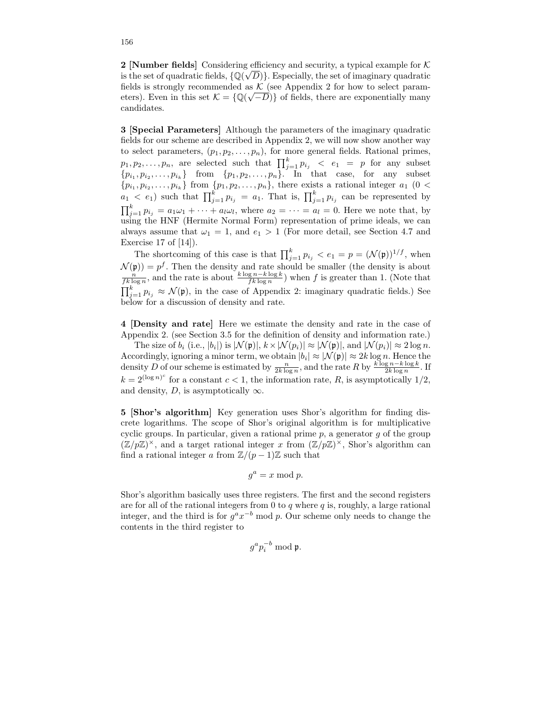**2** [Number fields] Considering efficiency and security, a typical example for  $K$ is the set of quadratic fields,  $\{ \mathbb{Q}(\sqrt{D}) \}$ . Especially, the set of imaginary quadratic fields is strongly recommended as  $K$  (see Appendix 2 for how to select parameters). Even in this set  $K = \{ \mathbb{Q}(\sqrt{-D}) \}$  of fields, there are exponentially many candidates.

3 [Special Parameters] Although the parameters of the imaginary quadratic fields for our scheme are described in Appendix 2, we will now show another way to select parameters,  $(p_1, p_2, \ldots, p_n)$ , for more general fields. Rational primes,  $p_1, p_2, \ldots, p_n$ , are selected such that  $\prod_{j=1}^k p_{i_j} < e_1 = p$  for any subset  $\{p_{i_1}, p_{i_2}, \ldots, p_{i_k}\}$  from  $\{p_1, p_2, \ldots, p_n\}$ . In that case, for any subset  $\{p_{i_1}, p_{i_2}, \ldots, p_{i_k}\}\$ from  $\{p_1, p_2, \ldots, p_n\}$ , there exists a rational integer  $a_1$  (0 <  $a_1 < e_1$ ) such that  $\prod_{j=1}^k p_{i_j} = a_1$ . That is,  $\prod_{j=1}^k p_{i_j}$  can be represented by  $\prod_{j=1}^{k} p_{i_j} = a_1 \omega_1 + \cdots + a_l \omega_l$ , where  $a_2 = \cdots = a_l = 0$ . Here we note that, by using the HNF (Hermite Normal Form) representation of prime ideals, we can always assume that  $\omega_1 = 1$ , and  $e_1 > 1$  (For more detail, see Section 4.7 and Exercise 17 of  $[14]$ .

The shortcoming of this case is that  $\prod_{j=1}^{k} p_{i_j} < e_1 = p = (\mathcal{N}(\mathfrak{p}))^{1/f}$ , when  $\mathcal{N}(\mathfrak{p}) = p^f$ . Then the density and rate should be smaller (the density is about  $\frac{n}{f k \log n}$ , and the rate is about  $\frac{k \log n - k \log k}{f k \log n}$ ) when f is greater than 1. (Note that  $\prod_{j=1}^k p_{i_j} \approx \mathcal{N}(\mathfrak{p})$ , in the case of Appendix 2: imaginary quadratic fields.) See below for a discussion of density and rate.

4 [Density and rate] Here we estimate the density and rate in the case of Appendix 2. (see Section 3.5 for the definition of density and information rate.)

The size of  $b_i$  (i.e.,  $|b_i|$ ) is  $|\mathcal{N}(\mathfrak{p})|, k \times |\mathcal{N}(p_i)| \approx |\mathcal{N}(\mathfrak{p})|$ , and  $|\mathcal{N}(p_i)| \approx 2 \log n$ . Accordingly, ignoring a minor term, we obtain  $|b_i| \approx |\mathcal{N}(\mathfrak{p})| \approx 2k \log n$ . Hence the density D of our scheme is estimated by  $\frac{n}{2k \log n}$ , and the rate R by  $\frac{k \log n - k \log k}{2k \log n}$ . If  $k = 2^{(\log n)^c}$  for a constant  $c < 1$ , the information rate, R, is asymptotically 1/2, and density, D, is asymptotically  $\infty$ .

5 [Shor's algorithm] Key generation uses Shor's algorithm for finding discrete logarithms. The scope of Shor's original algorithm is for multiplicative cyclic groups. In particular, given a rational prime  $p$ , a generator  $g$  of the group  $(\mathbb{Z}/p\mathbb{Z})^{\times}$ , and a target rational integer x from  $(\mathbb{Z}/p\mathbb{Z})^{\times}$ , Shor's algorithm can find a rational integer a from  $\mathbb{Z}/(p-1)\mathbb{Z}$  such that

$$
g^a = x \bmod p.
$$

Shor's algorithm basically uses three registers. The first and the second registers are for all of the rational integers from 0 to q where  $q$  is, roughly, a large rational integer, and the third is for  $g^a x^{-b}$  mod p. Our scheme only needs to change the contents in the third register to

$$
g^a p_i^{-b} \bmod \mathfrak{p}.
$$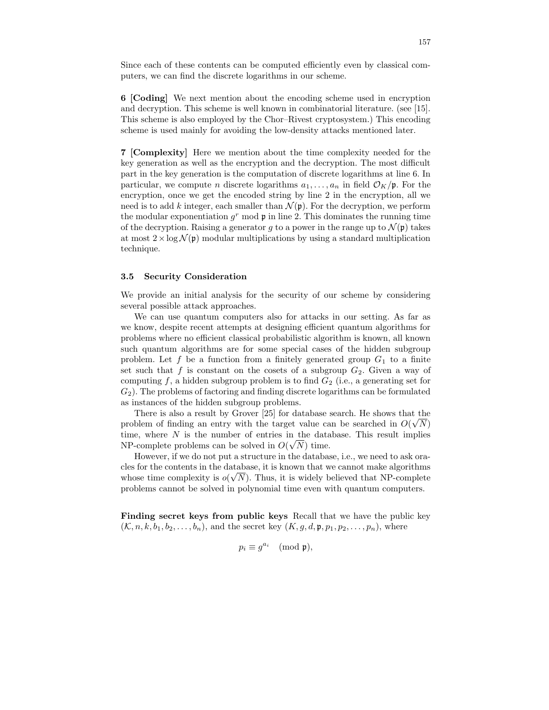Since each of these contents can be computed efficiently even by classical computers, we can find the discrete logarithms in our scheme.

6 [Coding] We next mention about the encoding scheme used in encryption and decryption. This scheme is well known in combinatorial literature. (see [15]. This scheme is also employed by the Chor–Rivest cryptosystem.) This encoding scheme is used mainly for avoiding the low-density attacks mentioned later.

7 [Complexity] Here we mention about the time complexity needed for the key generation as well as the encryption and the decryption. The most difficult part in the key generation is the computation of discrete logarithms at line 6. In particular, we compute *n* discrete logarithms  $a_1, \ldots, a_n$  in field  $\mathcal{O}_K/\mathfrak{p}$ . For the encryption, once we get the encoded string by line 2 in the encryption, all we need is to add k integer, each smaller than  $\mathcal{N}(\mathfrak{p})$ . For the decryption, we perform the modular exponentiation  $g<sup>r</sup>$  mod  $\mathfrak p$  in line 2. This dominates the running time of the decryption. Raising a generator g to a power in the range up to  $\mathcal{N}(\mathfrak{p})$  takes at most  $2 \times \log N(\mathfrak{p})$  modular multiplications by using a standard multiplication technique.

#### 3.5 Security Consideration

We provide an initial analysis for the security of our scheme by considering several possible attack approaches.

We can use quantum computers also for attacks in our setting. As far as we know, despite recent attempts at designing efficient quantum algorithms for problems where no efficient classical probabilistic algorithm is known, all known such quantum algorithms are for some special cases of the hidden subgroup problem. Let f be a function from a finitely generated group  $G_1$  to a finite set such that f is constant on the cosets of a subgroup  $G_2$ . Given a way of computing f, a hidden subgroup problem is to find  $G_2$  (i.e., a generating set for  $G_2$ ). The problems of factoring and finding discrete logarithms can be formulated as instances of the hidden subgroup problems.

There is also a result by Grover [25] for database search. He shows that the problem of finding an entry with the target value can be searched in  $O(\sqrt{N})$ time, where  $N$  is the number of entries in the database. This result implies NP-complete problems can be solved in  $O(\sqrt{N})$  time.

However, if we do not put a structure in the database, i.e., we need to ask oracles for the contents in the database, it is known that we cannot make algorithms whose time complexity is  $o(\sqrt{N})$ . Thus, it is widely believed that NP-complete problems cannot be solved in polynomial time even with quantum computers.

Finding secret keys from public keys Recall that we have the public key  $(\mathcal{K}, n, k, b_1, b_2, \ldots, b_n)$ , and the secret key  $(K, g, d, \mathfrak{p}, p_1, p_2, \ldots, p_n)$ , where

$$
p_i \equiv g^{a_i} \pmod{\mathfrak{p}},
$$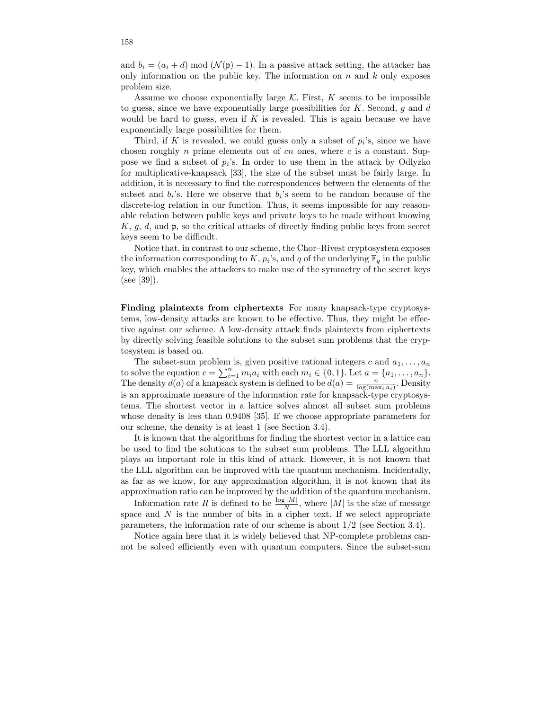and  $b_i = (a_i + d) \mod (\mathcal{N}(\mathfrak{p}) - 1)$ . In a passive attack setting, the attacker has only information on the public key. The information on  $n$  and  $k$  only exposes problem size.

Assume we choose exponentially large  $K$ . First, K seems to be impossible to guess, since we have exponentially large possibilities for  $K$ . Second,  $g$  and  $d$ would be hard to guess, even if  $K$  is revealed. This is again because we have exponentially large possibilities for them.

Third, if K is revealed, we could guess only a subset of  $p_i$ 's, since we have chosen roughly n prime elements out of cn ones, where c is a constant. Suppose we find a subset of  $p_i$ 's. In order to use them in the attack by Odlyzko for multiplicative-knapsack [33], the size of the subset must be fairly large. In addition, it is necessary to find the correspondences between the elements of the subset and  $b_i$ 's. Here we observe that  $b_i$ 's seem to be random because of the discrete-log relation in our function. Thus, it seems impossible for any reasonable relation between public keys and private keys to be made without knowing  $K, g, d$ , and  $\mathfrak{p}$ , so the critical attacks of directly finding public keys from secret keys seem to be difficult.

Notice that, in contrast to our scheme, the Chor–Rivest cryptosystem exposes the information corresponding to K,  $p_i$ 's, and q of the underlying  $\mathbb{F}_q$  in the public key, which enables the attackers to make use of the symmetry of the secret keys (see [39]).

Finding plaintexts from ciphertexts For many knapsack-type cryptosystems, low-density attacks are known to be effective. Thus, they might be effective against our scheme. A low-density attack finds plaintexts from ciphertexts by directly solving feasible solutions to the subset sum problems that the cryptosystem is based on.

The subset-sum problem is, given positive rational integers c and  $a_1, \ldots, a_n$ to solve the equation  $c = \sum_{i=1}^n m_i a_i$  with each  $m_i \in \{0, 1\}$ . Let  $a = \{a_1, \ldots, a_n\}$ . The density  $d(a)$  of a knapsack system is defined to be  $d(a) = \frac{n}{\log(\max_i a_i)}$ . Density is an approximate measure of the information rate for knapsack-type cryptosystems. The shortest vector in a lattice solves almost all subset sum problems whose density is less than 0.9408 [35]. If we choose appropriate parameters for our scheme, the density is at least 1 (see Section 3.4).

It is known that the algorithms for finding the shortest vector in a lattice can be used to find the solutions to the subset sum problems. The LLL algorithm plays an important role in this kind of attack. However, it is not known that the LLL algorithm can be improved with the quantum mechanism. Incidentally, as far as we know, for any approximation algorithm, it is not known that its approximation ratio can be improved by the addition of the quantum mechanism.

Information rate R is defined to be  $\frac{\log |M|}{N}$ , where  $|M|$  is the size of message space and  $N$  is the number of bits in a cipher text. If we select appropriate parameters, the information rate of our scheme is about  $1/2$  (see Section 3.4).

Notice again here that it is widely believed that NP-complete problems cannot be solved efficiently even with quantum computers. Since the subset-sum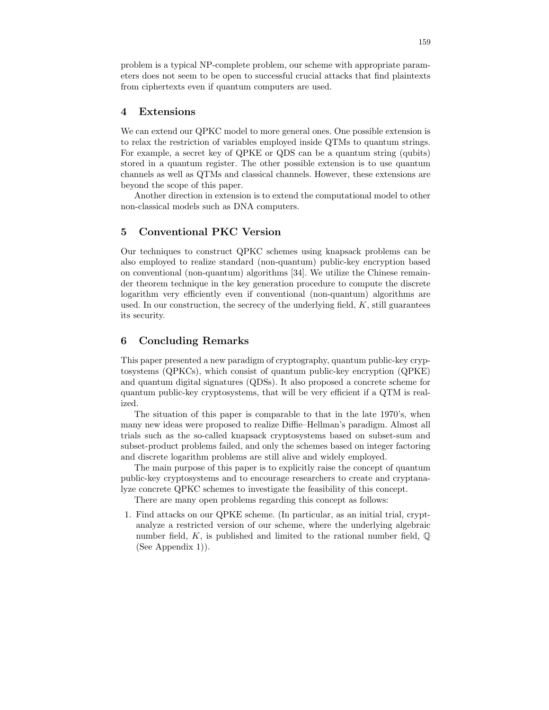problem is a typical NP-complete problem, our scheme with appropriate parameters does not seem to be open to successful crucial attacks that find plaintexts from ciphertexts even if quantum computers are used.

### 4 Extensions

We can extend our QPKC model to more general ones. One possible extension is to relax the restriction of variables employed inside QTMs to quantum strings. For example, a secret key of QPKE or QDS can be a quantum string (qubits) stored in a quantum register. The other possible extension is to use quantum channels as well as QTMs and classical channels. However, these extensions are beyond the scope of this paper.

Another direction in extension is to extend the computational model to other non-classical models such as DNA computers.

### 5 Conventional PKC Version

Our techniques to construct QPKC schemes using knapsack problems can be also employed to realize standard (non-quantum) public-key encryption based on conventional (non-quantum) algorithms [34]. We utilize the Chinese remainder theorem technique in the key generation procedure to compute the discrete logarithm very efficiently even if conventional (non-quantum) algorithms are used. In our construction, the secrecy of the underlying field,  $K$ , still guarantees its security.

### 6 Concluding Remarks

This paper presented a new paradigm of cryptography, quantum public-key cryptosystems (QPKCs), which consist of quantum public-key encryption (QPKE) and quantum digital signatures (QDSs). It also proposed a concrete scheme for quantum public-key cryptosystems, that will be very efficient if a QTM is realized.

The situation of this paper is comparable to that in the late 1970's, when many new ideas were proposed to realize Diffie–Hellman's paradigm. Almost all trials such as the so-called knapsack cryptosystems based on subset-sum and subset-product problems failed, and only the schemes based on integer factoring and discrete logarithm problems are still alive and widely employed.

The main purpose of this paper is to explicitly raise the concept of quantum public-key cryptosystems and to encourage researchers to create and cryptanalyze concrete QPKC schemes to investigate the feasibility of this concept.

There are many open problems regarding this concept as follows:

1. Find attacks on our QPKE scheme. (In particular, as an initial trial, cryptanalyze a restricted version of our scheme, where the underlying algebraic number field,  $K$ , is published and limited to the rational number field,  $\mathbb{Q}$ (See Appendix 1)).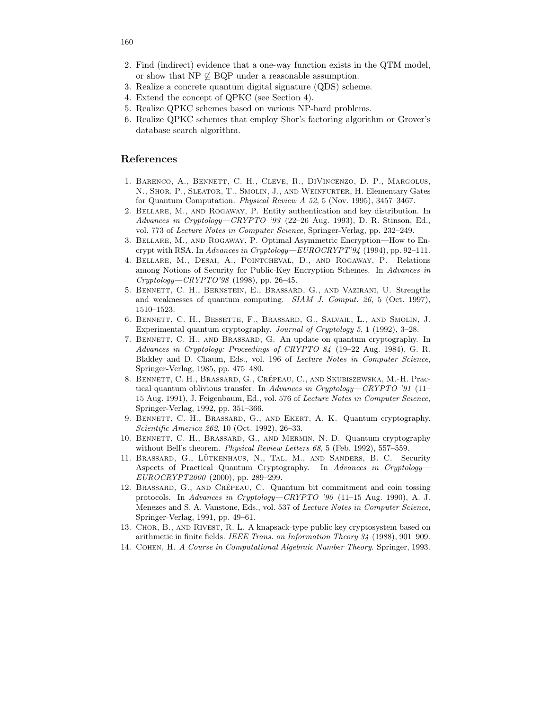- 2. Find (indirect) evidence that a one-way function exists in the QTM model, or show that  $NP \not\subseteq BQP$  under a reasonable assumption.
- 3. Realize a concrete quantum digital signature (QDS) scheme.
- 4. Extend the concept of QPKC (see Section 4).
- 5. Realize QPKC schemes based on various NP-hard problems.
- 6. Realize QPKC schemes that employ Shor's factoring algorithm or Grover's database search algorithm.

### References

- 1. Barenco, A., Bennett, C. H., Cleve, R., DiVincenzo, D. P., Margolus, N., Shor, P., Sleator, T., Smolin, J., and Weinfurter, H. Elementary Gates for Quantum Computation. Physical Review A 52, 5 (Nov. 1995), 3457–3467.
- 2. Bellare, M., and Rogaway, P. Entity authentication and key distribution. In Advances in Cryptology—CRYPTO '93 (22–26 Aug. 1993), D. R. Stinson, Ed., vol. 773 of Lecture Notes in Computer Science, Springer-Verlag, pp. 232–249.
- 3. Bellare, M., and Rogaway, P. Optimal Asymmetric Encryption—How to Encrypt with RSA. In Advances in Cryptology—EUROCRYPT'94 (1994), pp. 92–111.
- 4. Bellare, M., Desai, A., Pointcheval, D., and Rogaway, P. Relations among Notions of Security for Public-Key Encryption Schemes. In Advances in Cryptology—CRYPTO'98 (1998), pp. 26–45.
- 5. Bennett, C. H., Bernstein, E., Brassard, G., and Vazirani, U. Strengths and weaknesses of quantum computing. SIAM J. Comput. 26, 5 (Oct. 1997), 1510–1523.
- 6. Bennett, C. H., Bessette, F., Brassard, G., Salvail, L., and Smolin, J. Experimental quantum cryptography. Journal of Cryptology 5, 1 (1992), 3–28.
- 7. Bennett, C. H., and Brassard, G. An update on quantum cryptography. In Advances in Cryptology: Proceedings of CRYPTO 84 (19–22 Aug. 1984), G. R. Blakley and D. Chaum, Eds., vol. 196 of Lecture Notes in Computer Science, Springer-Verlag, 1985, pp. 475–480.
- 8. BENNETT, C. H., BRASSARD, G., CRÉPEAU, C., AND SKUBISZEWSKA, M.-H. Practical quantum oblivious transfer. In Advances in Cryptology—CRYPTO '91 (11– 15 Aug. 1991), J. Feigenbaum, Ed., vol. 576 of Lecture Notes in Computer Science, Springer-Verlag, 1992, pp. 351–366.
- 9. Bennett, C. H., Brassard, G., and Ekert, A. K. Quantum cryptography. Scientific America 262, 10 (Oct. 1992), 26–33.
- 10. Bennett, C. H., Brassard, G., and Mermin, N. D. Quantum cryptography without Bell's theorem. Physical Review Letters 68, 5 (Feb. 1992), 557-559.
- 11. BRASSARD, G., LÜTKENHAUS, N., TAL, M., AND SANDERS, B. C. Security Aspects of Practical Quantum Cryptography. In Advances in Cryptology— EUROCRYPT2000 (2000), pp. 289–299.
- 12. BRASSARD, G., AND CRÉPEAU, C. Quantum bit commitment and coin tossing protocols. In Advances in Cryptology—CRYPTO '90 (11–15 Aug. 1990), A. J. Menezes and S. A. Vanstone, Eds., vol. 537 of Lecture Notes in Computer Science, Springer-Verlag, 1991, pp. 49–61.
- 13. Chor, B., and Rivest, R. L. A knapsack-type public key cryptosystem based on arithmetic in finite fields. IEEE Trans. on Information Theory 34 (1988), 901–909.
- 14. Cohen, H. A Course in Computational Algebraic Number Theory. Springer, 1993.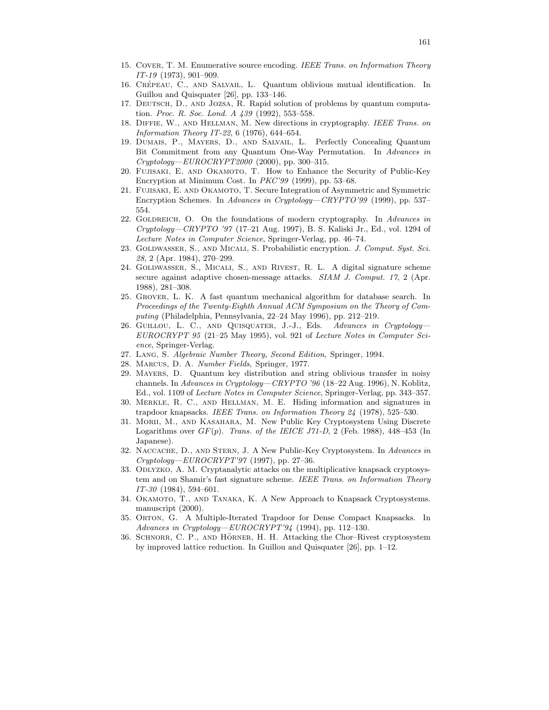- 15. Cover, T. M. Enumerative source encoding. IEEE Trans. on Information Theory IT-19 (1973), 901–909.
- 16. CRÉPEAU, C., AND SALVAIL, L. Quantum oblivious mutual identification. In Guillou and Quisquater [26], pp. 133–146.
- 17. DEUTSCH, D., AND JOZSA, R. Rapid solution of problems by quantum computation. Proc. R. Soc. Lond. A 439 (1992), 553-558.
- 18. Diffie, W., and Hellman, M. New directions in cryptography. IEEE Trans. on Information Theory IT-22, 6 (1976), 644–654.
- 19. Dumais, P., Mayers, D., and Salvail, L. Perfectly Concealing Quantum Bit Commitment from any Quantum One-Way Permutation. In Advances in Cryptology—EUROCRYPT2000 (2000), pp. 300–315.
- 20. FUJISAKI, E. AND OKAMOTO, T. How to Enhance the Security of Public-Key Encryption at Minimum Cost. In PKC'99 (1999), pp. 53–68.
- 21. Fujisaki, E. and Okamoto, T. Secure Integration of Asymmetric and Symmetric Encryption Schemes. In Advances in Cryptology—CRYPTO'99 (1999), pp. 537– 554.
- 22. GOLDREICH, O. On the foundations of modern cryptography. In Advances in  $Cryptology-CRYPTO$  '97 (17–21 Aug. 1997), B. S. Kaliski Jr., Ed., vol. 1294 of Lecture Notes in Computer Science, Springer-Verlag, pp. 46–74.
- 23. GOLDWASSER, S., AND MICALI, S. Probabilistic encryption. J. Comput. Syst. Sci. 28, 2 (Apr. 1984), 270–299.
- 24. Goldwasser, S., Micali, S., and Rivest, R. L. A digital signature scheme secure against adaptive chosen-message attacks. SIAM J. Comput. 17, 2 (Apr. 1988), 281–308.
- 25. Grover, L. K. A fast quantum mechanical algorithm for database search. In Proceedings of the Twenty-Eighth Annual ACM Symposium on the Theory of Computing (Philadelphia, Pennsylvania, 22–24 May 1996), pp. 212–219.
- 26. Guillou, L. C., and Quisquater, J.-J., Eds. Advances in Cryptology— EUROCRYPT 95 (21–25 May 1995), vol. 921 of Lecture Notes in Computer Science, Springer-Verlag.
- 27. Lang, S. Algebraic Number Theory, Second Edition, Springer, 1994.
- 28. Marcus, D. A. Number Fields, Springer, 1977.
- 29. Mayers, D. Quantum key distribution and string oblivious transfer in noisy channels. In Advances in Cryptology—CRYPTO '96 (18–22 Aug. 1996), N. Koblitz, Ed., vol. 1109 of Lecture Notes in Computer Science, Springer-Verlag, pp. 343–357.
- 30. Merkle, R. C., and Hellman, M. E. Hiding information and signatures in trapdoor knapsacks. IEEE Trans. on Information Theory 24 (1978), 525–530.
- 31. Morii, M., and Kasahara, M. New Public Key Cryptosystem Using Discrete Logarithms over  $GF(p)$ . Trans. of the IEICE J71-D, 2 (Feb. 1988), 448-453 (In Japanese).
- 32. Naccache, D., and Stern, J. A New Public-Key Cryptosystem. In Advances in  $Cryptology - EUROCRYPT'97 (1997), pp. 27-36.$
- 33. ODLYZKO, A. M. Cryptanalytic attacks on the multiplicative knapsack cryptosystem and on Shamir's fast signature scheme. IEEE Trans. on Information Theory IT-30 (1984), 594–601.
- 34. Okamoto, T., and Tanaka, K. A New Approach to Knapsack Cryptosystems. manuscript (2000).
- 35. Orton, G. A Multiple-Iterated Trapdoor for Dense Compact Knapsacks. In Advances in Cryptology—EUROCRYPT'94 (1994), pp. 112–130.
- 36. SCHNORR, C. P., AND HÖRNER, H. H. Attacking the Chor–Rivest cryptosystem by improved lattice reduction. In Guillou and Quisquater [26], pp. 1–12.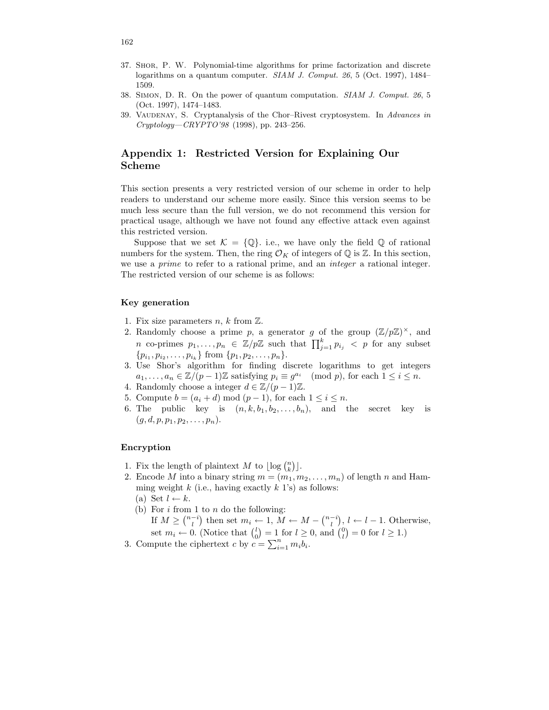- 37. Shor, P. W. Polynomial-time algorithms for prime factorization and discrete logarithms on a quantum computer. SIAM J. Comput. 26, 5 (Oct. 1997), 1484– 1509.
- 38. Simon, D. R. On the power of quantum computation. SIAM J. Comput. 26, 5 (Oct. 1997), 1474–1483.
- 39. Vaudenay, S. Cryptanalysis of the Chor–Rivest cryptosystem. In Advances in Cryptology—CRYPTO'98 (1998), pp. 243–256.

# Appendix 1: Restricted Version for Explaining Our Scheme

This section presents a very restricted version of our scheme in order to help readers to understand our scheme more easily. Since this version seems to be much less secure than the full version, we do not recommend this version for practical usage, although we have not found any effective attack even against this restricted version.

Suppose that we set  $\mathcal{K} = \{\mathbb{Q}\}\.$  i.e., we have only the field  $\mathbb Q$  of rational numbers for the system. Then, the ring  $\mathcal{O}_K$  of integers of  $\mathbb Q$  is  $\mathbb Z$ . In this section, we use a prime to refer to a rational prime, and an integer a rational integer. The restricted version of our scheme is as follows:

#### Key generation

- 1. Fix size parameters  $n, k$  from  $\mathbb{Z}$ .
- 2. Randomly choose a prime p, a generator g of the group  $(\mathbb{Z}/p\mathbb{Z})^{\times}$ , and n co-primes  $p_1, \ldots, p_n \in \mathbb{Z}/p\mathbb{Z}$  such that  $\prod_{j=1}^k p_{i_j} < p$  for any subset  $\{p_{i_1}, p_{i_2}, \ldots, p_{i_k}\}\ \text{from}\ \{p_1, p_2, \ldots, p_n\}.$
- 3. Use Shor's algorithm for finding discrete logarithms to get integers  $a_1, \ldots, a_n \in \mathbb{Z}/(p-1)\mathbb{Z}$  satisfying  $p_i \equiv g^{a_i} \pmod{p}$ , for each  $1 \le i \le n$ .
- 4. Randomly choose a integer  $d \in \mathbb{Z}/(p-1)\mathbb{Z}$ .
- 5. Compute  $b = (a_i + d) \mod (p-1)$ , for each  $1 \leq i \leq n$ .
- 6. The public key is  $(n, k, b_1, b_2, \ldots, b_n)$ , and the secret key is  $(q, d, p, p_1, p_2, \ldots, p_n).$

### Encryption

- 1. Fix the length of plaintext M to  $\lfloor \log {n \choose k} \rfloor$ .
- 2. Encode M into a binary string  $m = (m_1, m_2, \ldots, m_n)$  of length n and Hamming weight k (i.e., having exactly k 1's) as follows: (a) Set  $l \leftarrow k$ .
	- (b) For  $i$  from 1 to  $n$  do the following: If  $M \geq {n-i \choose l}$  then set  $m_i \leftarrow 1, M \leftarrow M - {n-i \choose l}, l \leftarrow l-1$ . Otherwise, set  $m_i \leftarrow 0$ . (Notice that  $\binom{l}{0} = 1$  for  $l \geq 0$ , and  $\binom{0}{l} = 0$  for  $l \geq 1$ .)
- 3. Compute the ciphertext c by  $c = \sum_{i=1}^{n} m_i b_i$ .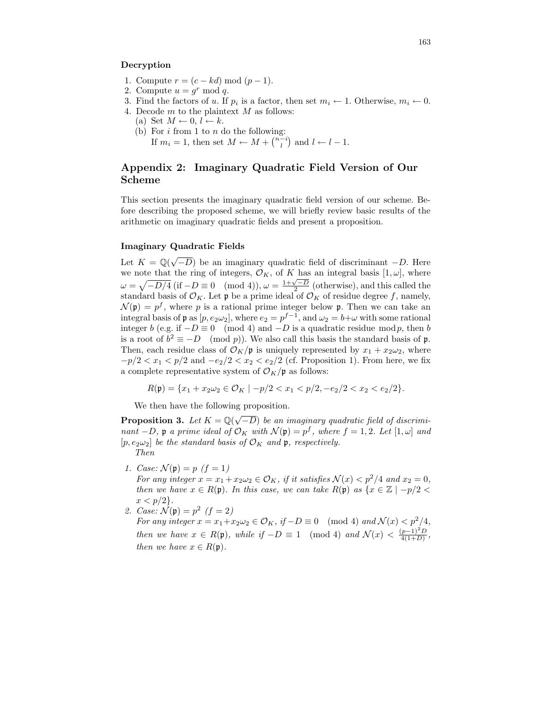#### Decryption

- 1. Compute  $r = (c kd) \mod (p 1)$ .
- 2. Compute  $u = g^r \mod q$ .
- 3. Find the factors of u. If  $p_i$  is a factor, then set  $m_i \leftarrow 1$ . Otherwise,  $m_i \leftarrow 0$ .
- 4. Decode  $m$  to the plaintext  $M$  as follows:
	- (a) Set  $M \leftarrow 0, l \leftarrow k$ .
	- (b) For  $i$  from 1 to  $n$  do the following:

If  $m_i = 1$ , then set  $M \leftarrow M + \binom{n-i}{l}$  and  $l \leftarrow l - 1$ .

## Appendix 2: Imaginary Quadratic Field Version of Our Scheme

This section presents the imaginary quadratic field version of our scheme. Before describing the proposed scheme, we will briefly review basic results of the arithmetic on imaginary quadratic fields and present a proposition.

#### Imaginary Quadratic Fields

Let  $K = \mathbb{Q}(\sqrt{-D})$  be an imaginary quadratic field of discriminant  $-D$ . Here we note that the ring of integers,  $\mathcal{O}_K$ , of K has an integral basis  $[1, \omega]$ , where  $\omega = \sqrt{-D/4}$  (if  $-D \equiv 0 \pmod{4}$ ),  $\omega = \frac{1+\sqrt{-D}}{2}$  (otherwise), and this called the standard basis of  $\mathcal{O}_K$ . Let  $\mathfrak p$  be a prime ideal of  $\mathcal{O}_K$  of residue degree f, namely,  $\mathcal{N}(\mathfrak{p}) = p^f$ , where p is a rational prime integer below **p**. Then we can take an integral basis of  $\mathfrak p$  as  $[p, e_2 \omega_2]$ , where  $e_2 = p^{f-1}$ , and  $\omega_2 = b + \omega$  with some rational integer b (e.g. if  $-D \equiv 0 \pmod{4}$  and  $-D$  is a quadratic residue mod p, then b is a root of  $b^2 \equiv -D \pmod{p}$ . We also call this basis the standard basis of p. Then, each residue class of  $\mathcal{O}_K/\mathfrak{p}$  is uniquely represented by  $x_1 + x_2\omega_2$ , where  $-p/2 < x_1 < p/2$  and  $-e_2/2 < x_2 < e_2/2$  (cf. Proposition 1). From here, we fix a complete representative system of  $\mathcal{O}_K/\mathfrak{p}$  as follows:

 $R(\mathfrak{p}) = \{x_1 + x_2 \omega_2 \in \mathcal{O}_K \mid -p/2 < x_1 < p/2, -e_2/2 < x_2 < e_2/2\}.$ 

We then have the following proposition.

**Proposition 3.** Let  $K = \mathbb{Q}(\sqrt{-D})$  be an imaginary quadratic field of discriminant  $-D$ , p a prime ideal of  $\mathcal{O}_K$  with  $\mathcal{N}(\mathfrak{p}) = p^f$ , where  $f = 1, 2$ . Let  $[1, \omega]$  and  $[p, e_2 \omega_2]$  be the standard basis of  $\mathcal{O}_K$  and p, respectively. Then

1. Case:  $\mathcal{N}(\mathfrak{p}) = p \; (f = 1)$ 

For any integer  $x = x_1 + x_2 \omega_2 \in \mathcal{O}_K$ , if it satisfies  $\mathcal{N}(x) < p^2/4$  and  $x_2 = 0$ , then we have  $x \in R(\mathfrak{p})$ . In this case, we can take  $R(\mathfrak{p})$  as  $\{x \in \mathbb{Z} \mid -p/2 < \infty\}$  $x < p/2$ .

2. *Case:*  $\mathcal{N}(\mathfrak{p}) = p^2$   $(f = 2)$ 

For any integer  $x = x_1 + x_2 \omega_2 \in \mathcal{O}_K$ , if  $-D \equiv 0 \pmod{4}$  and  $\mathcal{N}(x) < p^2/4$ , then we have  $x \in R(\mathfrak{p})$ , while if  $-D \equiv 1 \pmod{4}$  and  $\mathcal{N}(x) < \frac{(p-1)^2 D}{4(1+D)}$ , then we have  $x \in R(\mathfrak{p})$ .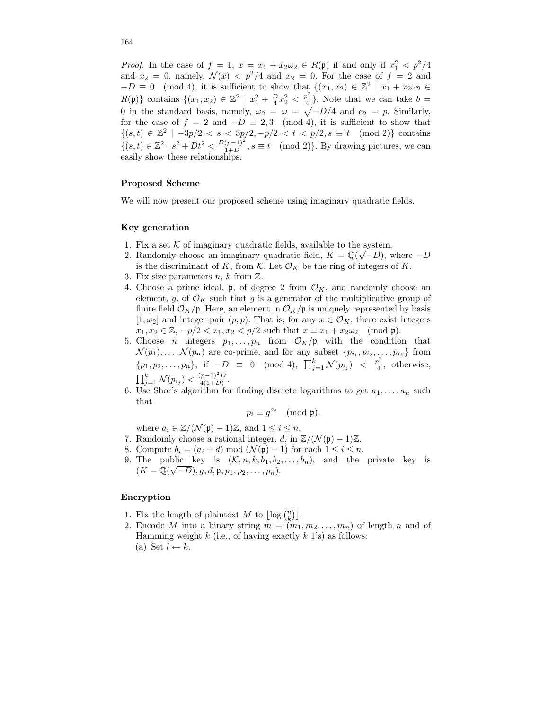*Proof.* In the case of  $f = 1$ ,  $x = x_1 + x_2 \omega_2 \in R(\mathfrak{p})$  if and only if  $x_1^2 < p^2/4$ and  $x_2 = 0$ , namely,  $\mathcal{N}(x) \leq p^2/4$  and  $x_2 = 0$ . For the case of  $f = 2$  and  $-D \equiv 0 \pmod{4}$ , it is sufficient to show that  $\{(x_1, x_2) \in \mathbb{Z}^2 \mid x_1 + x_2 \omega_2 \in \mathbb{Z}^2 \mid x_2 \in \mathbb{Z}^2 \mid x_1 + x_2 \omega_2 \in \mathbb{Z}^2 \mid x_2 \in \mathbb{Z}^2 \mid x_2 \in \mathbb{Z}^2 \mid x_2 \in \mathbb{Z}^2 \mid x_2 \in \mathbb{Z}^2 \mid x_2 \in \mathbb{Z}^2 \mid x_2 \in \mathbb{Z}^2 \mid x_$  $R(\mathfrak{p})\}\)$  contains  $\{(x_1, x_2) \in \mathbb{Z}^2 \mid x_1^2 + \frac{D}{4}x_2^2 < \frac{p^2}{4}\}$  $\frac{b^2}{4}$ . Note that we can take  $b =$ 0 in the standard basis, namely,  $\omega_2 = \omega = \sqrt{-D/4}$  and  $e_2 = p$ . Similarly, for the case of  $f = 2$  and  $-D \equiv 2,3 \pmod{4}$ , it is sufficient to show that  $\{(s,t) \in \mathbb{Z}^2 \mid -3p/2 < s < 3p/2, -p/2 < t < p/2, s \equiv t \pmod{2}\}$  contains  $\{(s,t) \in \mathbb{Z}^2 \mid s^2 + Dt^2 < \frac{D(p-1)^2}{1+D}, s \equiv t \pmod{2}\}.$  By drawing pictures, we can easily show these relationships.

#### Proposed Scheme

We will now present our proposed scheme using imaginary quadratic fields.

#### Key generation

- 1. Fix a set  $K$  of imaginary quadratic fields, available to the system.
- 2. Randomly choose an imaginary quadratic field,  $K = \mathbb{Q}(\sqrt{-D})$ , where  $-D$ is the discriminant of K, from K. Let  $\mathcal{O}_K$  be the ring of integers of K.
- 3. Fix size parameters  $n, k$  from  $\mathbb{Z}$ .
- 4. Choose a prime ideal,  $\mathfrak{p}$ , of degree 2 from  $\mathcal{O}_K$ , and randomly choose an element, g, of  $\mathcal{O}_K$  such that g is a generator of the multiplicative group of finite field  $\mathcal{O}_K/\mathfrak{p}$ . Here, an element in  $\mathcal{O}_K/\mathfrak{p}$  is uniquely represented by basis  $[1, \omega_2]$  and integer pair  $(p, p)$ . That is, for any  $x \in \mathcal{O}_K$ , there exist integers  $x_1, x_2 \in \mathbb{Z}, -p/2 < x_1, x_2 < p/2$  such that  $x \equiv x_1 + x_2 \omega_2 \pmod{p}$ .
- 5. Choose *n* integers  $p_1, \ldots, p_n$  from  $\mathcal{O}_K/\mathfrak{p}$  with the condition that  $\mathcal{N}(p_1), \ldots, \mathcal{N}(p_n)$  are co-prime, and for any subset  $\{p_{i_1}, p_{i_2}, \ldots, p_{i_k}\}\)$  from  $\{p_1, p_2, \ldots, p_n\}$ , if  $-D \equiv 0 \pmod{4}$ ,  $\prod_{j=1}^k \mathcal{N}(p_{i_j}) < \frac{p^2}{4}$  $\frac{p}{4}$ , otherwise,  $\prod_{j=1}^{k} \mathcal{N}(p_{i_j}) < \frac{(p-1)^2 D}{4(1+D)}$ .
- 6. Use Shor's algorithm for finding discrete logarithms to get  $a_1, \ldots, a_n$  such that

$$
p_i \equiv g^{a_i} \pmod{\mathfrak{p}},
$$

where  $a_i \in \mathbb{Z}/(\mathcal{N}(\mathfrak{p})-1)\mathbb{Z}$ , and  $1 \leq i \leq n$ .

- 7. Randomly choose a rational integer, d, in  $\mathbb{Z}/(\mathcal{N}(\mathfrak{p})-1)\mathbb{Z}$ .
- 8. Compute  $b_i = (a_i + d) \mod (\mathcal{N}(\mathfrak{p}) 1)$  for each  $1 \leq i \leq n$ .
- 9. The public key is  $(\mathcal{K}, n, k, b_1, b_2, \ldots, b_n)$ , and the private key is  $(K = \mathbb{Q}(\sqrt{-D}), g, d, \mathfrak{p}, p_1, p_2, \ldots, p_n).$

### Encryption

- 1. Fix the length of plaintext M to  $\lfloor \log {n \choose k} \rfloor$ .
- 2. Encode M into a binary string  $m = (m_1, m_2, \ldots, m_n)$  of length n and of Hamming weight  $k$  (i.e., of having exactly  $k$  1's) as follows: (a) Set  $l \leftarrow k$ .